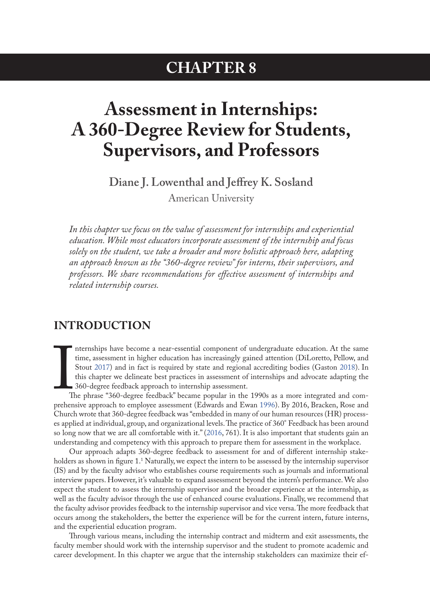## **CHAPTER 8**

# <span id="page-0-0"></span>**Assessment in Internships: A 360-Degree Review for Students, Supervisors, and Professors**

**Diane J. Lowenthal and Jeffrey K. Sosland** American University

*In this chapter we focus on the value of assessment for internships and experiential education. While most educators incorporate assessment of the internship and focus solely on the student, we take a broader and more holistic approach here, adapting an approach known as the "360-degree review" for interns, their supervisors, and professors. We share recommendations for effective assessment of internships and related internship courses.*

### **INTRODUCTION**

time, assessment in higher education has increasingly gained attention (DiLoretto, Pellow, and<br>Stout 2017) and in fact is required by state and regional accrediting bodies (Gaston 2018). In<br>this chapter we delineate best p nternships have become a near-essential component of undergraduate education. At the same time, assessment in higher education has increasingly gained attention (DiLoretto, Pellow, and Stout 2017) and in fact is required by state and regional accrediting bodies (Gaston [2018](#page-9-0)). In this chapter we delineate best practices in assessment of internships and advocate adapting the 360-degree feedback approach to internship assessment.

The phrase "360-degree feedback" became popular in the 1990s as a more integrated and com-Church wrote that 360-degree feedback was "embedded in many of our human resources (HR) processes applied at individual, group, and organizational levels. The practice of 360° Feedback has been around so long now that we are all comfortable with it." (2016, 761). It is also important that students gain an understanding and competency with this approach to prepare them for assessment in the workplace.

Our approach adapts 360-degree feedback to assessment for and of different internship stakeholders as shown in figure 1[.1](#page-10-0) Naturally, we expect the intern to be assessed by the internship supervisor (IS) and by the faculty advisor who establishes course requirements such as journals and informational interview papers. However, it's valuable to expand assessment beyond the intern's performance. We also expect the student to assess the internship supervisor and the broader experience at the internship, as well as the faculty advisor through the use of enhanced course evaluations. Finally, we recommend that the faculty advisor provides feedback to the internship supervisor and vice versa. The more feedback that occurs among the stakeholders, the better the experience will be for the current intern, future interns, and the experiential education program.

Through various means, including the internship contract and midterm and exit assessments, the faculty member should work with the internship supervisor and the student to promote academic and career development. In this chapter we argue that the internship stakeholders can maximize their ef-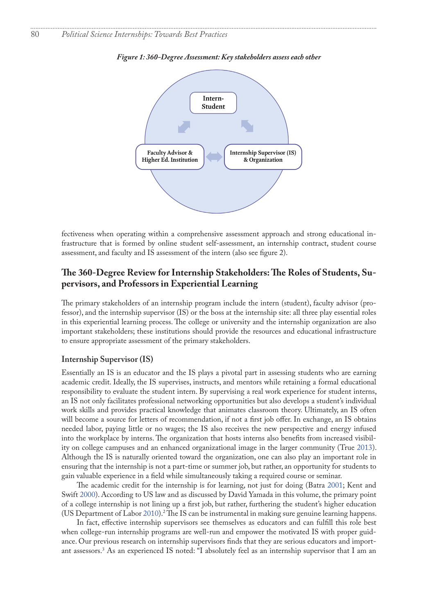

<span id="page-1-0"></span>*Figure 1: 360-Degree Assessment: Key stakeholders assess each other*

fectiveness when operating within a comprehensive assessment approach and strong educational infrastructure that is formed by online student self-assessment, an internship contract, student course assessment, and faculty and IS assessment of the intern (also see figure 2).

### **The 360-Degree Review for Internship Stakeholders: The Roles of Students, Supervisors, and Professors in Experiential Learning**

The primary stakeholders of an internship program include the intern (student), faculty advisor (professor), and the internship supervisor (IS) or the boss at the internship site: all three play essential roles in this experiential learning process. The college or university and the internship organization are also important stakeholders; these institutions should provide the resources and educational infrastructure to ensure appropriate assessment of the primary stakeholders.

#### **Internship Supervisor (IS)**

Essentially an IS is an educator and the IS plays a pivotal part in assessing students who are earning academic credit. Ideally, the IS supervises, instructs, and mentors while retaining a formal educational responsibility to evaluate the student intern. By supervising a real work experience for student interns, an IS not only facilitates professional networking opportunities but also develops a student's individual work skills and provides practical knowledge that animates classroom theory. Ultimately, an IS often will become a source for letters of recommendation, if not a first job offer. In exchange, an IS obtains needed labor, paying little or no wages; the IS also receives the new perspective and energy infused into the workplace by interns. The organization that hosts interns also benefits from increased visibility on college campuses and an enhanced organizational image in the larger community (True [2013](#page-10-1)). Although the IS is naturally oriented toward the organization, one can also play an important role in ensuring that the internship is not a part-time or summer job, but rather, an opportunity for students to gain valuable experience in a field while simultaneously taking a required course or seminar.

The academic credit for the internship is for learning, not just for doing (Batra 2001; Kent and Swift 2000). According to US law and as discussed by David Yamada in this volume, the primary point of a college internship is not lining up a first job, but rather, furthering the student's higher education (US Department of Labor 2010).<sup>2</sup> The IS can be instrumental in making sure genuine learning happens.

In fact, effective internship supervisors see themselves as educators and can fulfill this role best when college-run internship programs are well-run and empower the motivated IS with proper guidance. Our previous research on internship supervisors finds that they are serious educators and important assessors.[3](#page-10-0) As an experienced IS noted: "I absolutely feel as an internship supervisor that I am an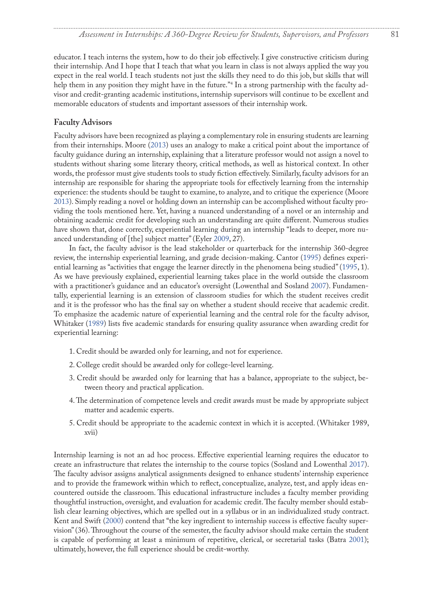<span id="page-2-0"></span>educator. I teach interns the system, how to do their job effectively. I give constructive criticism during their internship. And I hope that I teach that what you learn in class is not always applied the way you expect in the real world. I teach students not just the skills they need to do this job, but skills that will help them in any position they might have in the future.["4](#page-10-0) In a strong partnership with the faculty advisor and credit-granting academic institutions, internship supervisors will continue to be excellent and memorable educators of students and important assessors of their internship work.

### **Faculty Advisors**

Faculty advisors have been recognized as playing a complementary role in ensuring students are learning from their internships. Moore (2013) uses an analogy to make a critical point about the importance of faculty guidance during an internship, explaining that a literature professor would not assign a novel to students without sharing some literary theory, critical methods, as well as historical context. In other words, the professor must give students tools to study fiction effectively. Similarly, faculty advisors for an internship are responsible for sharing the appropriate tools for effectively learning from the internship experience: the students should be taught to examine, to analyze, and to critique the experience (Moore 2013). Simply reading a novel or holding down an internship can be accomplished without faculty providing the tools mentioned here. Yet, having a nuanced understanding of a novel or an internship and obtaining academic credit for developing such an understanding are quite different. Numerous studies have shown that, done correctly, experiential learning during an internship "leads to deeper, more nuanced understanding of [the] subject matter" (Eyler 2009, 27).

In fact, the faculty advisor is the lead stakeholder or quarterback for the internship 360-degree review, the internship experiential learning, and grade decision-making. Cantor [\(1995](#page-9-2)) defines experiential learning as "activities that engage the learner directly in the phenomena being studied" ([1995,](#page-9-2) 1). As we have previously explained, experiential learning takes place in the world outside the classroom with a practitioner's guidance and an educator's oversight (Lowenthal and Sosland 2007). Fundamentally, experiential learning is an extension of classroom studies for which the student receives credit and it is the professor who has the final say on whether a student should receive that academic credit. To emphasize the academic nature of experiential learning and the central role for the faculty advisor, Whitaker ([1989\)](#page-10-2) lists five academic standards for ensuring quality assurance when awarding credit for experiential learning:

- 1. Credit should be awarded only for learning, and not for experience.
- 2. College credit should be awarded only for college-level learning.
- 3. Credit should be awarded only for learning that has a balance, appropriate to the subject, between theory and practical application.
- 4. The determination of competence levels and credit awards must be made by appropriate subject matter and academic experts.
- 5. Credit should be appropriate to the academic context in which it is accepted. (Whitaker 1989, xvii)

Internship learning is not an ad hoc process. Effective experiential learning requires the educator to create an infrastructure that relates the internship to the course topics (Sosland and Lowenthal 2017). The faculty advisor assigns analytical assignments designed to enhance students' internship experience and to provide the framework within which to reflect, conceptualize, analyze, test, and apply ideas encountered outside the classroom. This educational infrastructure includes a faculty member providing thoughtful instruction, oversight, and evaluation for academic credit. The faculty member should establish clear learning objectives, which are spelled out in a syllabus or in an individualized study contract. Kent and Swift (2000) contend that "the key ingredient to internship success is effective faculty supervision" (36). Throughout the course of the semester, the faculty advisor should make certain the student is capable of performing at least a minimum of repetitive, clerical, or secretarial tasks (Batra 2001); ultimately, however, the full experience should be credit-worthy.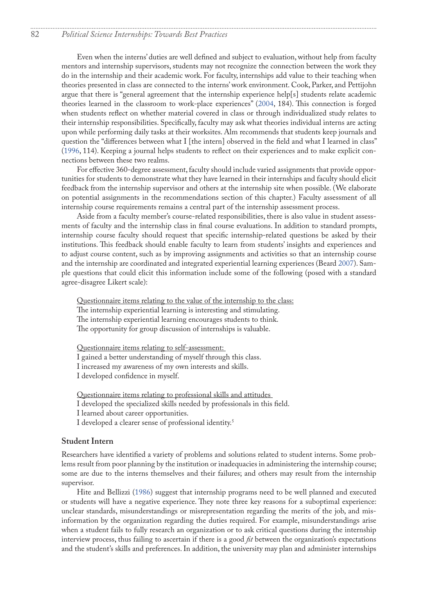### <span id="page-3-0"></span>82 *Political Science Internships: Towards Best Practices*

Even when the interns' duties are well defined and subject to evaluation, without help from faculty mentors and internship supervisors, students may not recognize the connection between the work they do in the internship and their academic work. For faculty, internships add value to their teaching when theories presented in class are connected to the interns' work environment. Cook, Parker, and Pettijohn argue that there is "general agreement that the internship experience help[s] students relate academic theories learned in the classroom to work-place experiences" (2004, 184). This connection is forged when students reflect on whether material covered in class or through individualized study relates to their internship responsibilities. Specifically, faculty may ask what theories individual interns are acting upon while performing daily tasks at their worksites. Alm recommends that students keep journals and question the "differences between what I [the intern] observed in the field and what I learned in class" (1996, 114). Keeping a journal helps students to reflect on their experiences and to make explicit connections between these two realms.

For effective 360-degree assessment, faculty should include varied assignments that provide opportunities for students to demonstrate what they have learned in their internships and faculty should elicit feedback from the internship supervisor and others at the internship site when possible. (We elaborate on potential assignments in the recommendations section of this chapter.) Faculty assessment of all internship course requirements remains a central part of the internship assessment process.

Aside from a faculty member's course-related responsibilities, there is also value in student assessments of faculty and the internship class in final course evaluations. In addition to standard prompts, internship course faculty should request that specific internship-related questions be asked by their institutions. This feedback should enable faculty to learn from students' insights and experiences and to adjust course content, such as by improving assignments and activities so that an internship course and the internship are coordinated and integrated experiential learning experiences (Beard 2007). Sample questions that could elicit this information include some of the following (posed with a standard agree-disagree Likert scale):

Questionnaire items relating to the value of the internship to the class: The internship experiential learning is interesting and stimulating. The internship experiential learning encourages students to think. The opportunity for group discussion of internships is valuable.

Questionnaire items relating to self-assessment: I gained a better understanding of myself through this class. I increased my awareness of my own interests and skills. I developed confidence in myself.

Questionnaire items relating to professional skills and attitudes I developed the specialized skills needed by professionals in this field. I learned about career opportunities. I developed a clearer sense of professional identity.[5](#page-10-0)

#### **Student Intern**

Researchers have identified a variety of problems and solutions related to student interns. Some problems result from poor planning by the institution or inadequacies in administering the internship course; some are due to the interns themselves and their failures; and others may result from the internship supervisor.

Hite and Bellizzi (1986) suggest that internship programs need to be well planned and executed or students will have a negative experience. They note three key reasons for a suboptimal experience: unclear standards, misunderstandings or misrepresentation regarding the merits of the job, and misinformation by the organization regarding the duties required. For example, misunderstandings arise when a student fails to fully research an organization or to ask critical questions during the internship interview process, thus failing to ascertain if there is a good *fit* between the organization's expectations and the student's skills and preferences. In addition, the university may plan and administer internships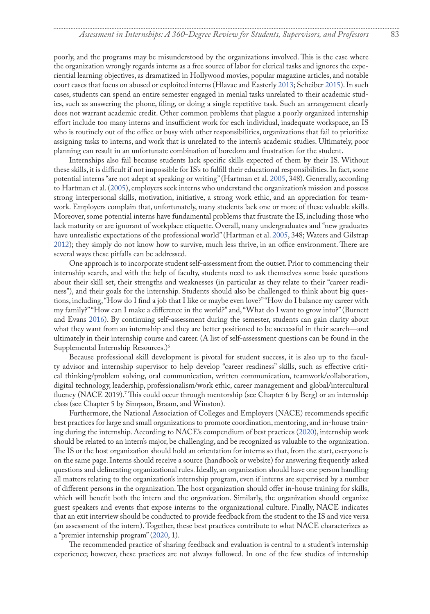<span id="page-4-0"></span>poorly, and the programs may be misunderstood by the organizations involved. This is the case where the organization wrongly regards interns as a free source of labor for clerical tasks and ignores the experiential learning objectives, as dramatized in Hollywood movies, popular magazine articles, and notable court cases that focus on abused or exploited interns (Hlavac and Easterly 2013; Scheiber 2015). In such cases, students can spend an entire semester engaged in menial tasks unrelated to their academic studies, such as answering the phone, filing, or doing a single repetitive task. Such an arrangement clearly does not warrant academic credit. Other common problems that plague a poorly organized internship effort include too many interns and insufficient work for each individual, inadequate workspace, an IS who is routinely out of the office or busy with other responsibilities, organizations that fail to prioritize assigning tasks to interns, and work that is unrelated to the intern's academic studies. Ultimately, poor planning can result in an unfortunate combination of boredom and frustration for the student.

Internships also fail because students lack specific skills expected of them by their IS. Without these skills, it is difficult if not impossible for IS's to fulfill their educational responsibilities. In fact, some potential interns "are not adept at speaking or writing" (Hartman et al. 2005, 348). Generally, according to Hartman et al. (2005), employers seek interns who understand the organization's mission and possess strong interpersonal skills, motivation, initiative, a strong work ethic, and an appreciation for teamwork. Employers complain that, unfortunately, many students lack one or more of these valuable skills. Moreover, some potential interns have fundamental problems that frustrate the IS, including those who lack maturity or are ignorant of workplace etiquette. Overall, many undergraduates and "new graduates have unrealistic expectations of the professional world" (Hartman et al. 2005, 348; Waters and Gilstrap 2012); they simply do not know how to survive, much less thrive, in an office environment. There are several ways these pitfalls can be addressed.

One approach is to incorporate student self-assessment from the outset. Prior to commencing their internship search, and with the help of faculty, students need to ask themselves some basic questions about their skill set, their strengths and weaknesses (in particular as they relate to their "career readiness"), and their goals for the internship. Students should also be challenged to think about big questions, including, "How do I find a job that I like or maybe even love?" "How do I balance my career with my family?" "How can I make a difference in the world?" and, "What do I want to grow into?" (Burnett and Evans [2016](#page-9-3)). By continuing self-assessment during the semester, students can gain clarity about what they want from an internship and they are better positioned to be successful in their search—and ultimately in their internship course and career. (A list of self-assessment questions can be found in the Supplemental Internship Resources.)[6](#page-10-0)

Because professional skill development is pivotal for student success, it is also up to the faculty advisor and internship supervisor to help develop "career readiness" skills, such as effective critical thinking/problem solving, oral communication, written communication, teamwork/collaboration, digital technology, leadership, professionalism/work ethic, career management and global/intercultural fluency (NACE 2019).[7](#page-10-0) This could occur through mentorship (see Chapter 6 by Berg) or an internship class (see Chapter 5 by Simpson, Braam, and Winston).

Furthermore, the National Association of Colleges and Employers (NACE) recommends specific best practices for large and small organizations to promote coordination, mentoring, and in-house training during the internship. According to NACE's compendium of best practices (2020), internship work should be related to an intern's major, be challenging, and be recognized as valuable to the organization. The IS or the host organization should hold an orientation for interns so that, from the start, everyone is on the same page. Interns should receive a source (handbook or website) for answering frequently asked questions and delineating organizational rules. Ideally, an organization should have one person handling all matters relating to the organization's internship program, even if interns are supervised by a number of different persons in the organization. The host organization should offer in-house training for skills, which will benefit both the intern and the organization. Similarly, the organization should organize guest speakers and events that expose interns to the organizational culture. Finally, NACE indicates that an exit interview should be conducted to provide feedback from the student to the IS and vice versa (an assessment of the intern). Together, these best practices contribute to what NACE characterizes as a "premier internship program" (2020, 1).

The recommended practice of sharing feedback and evaluation is central to a student's internship experience; however, these practices are not always followed. In one of the few studies of internship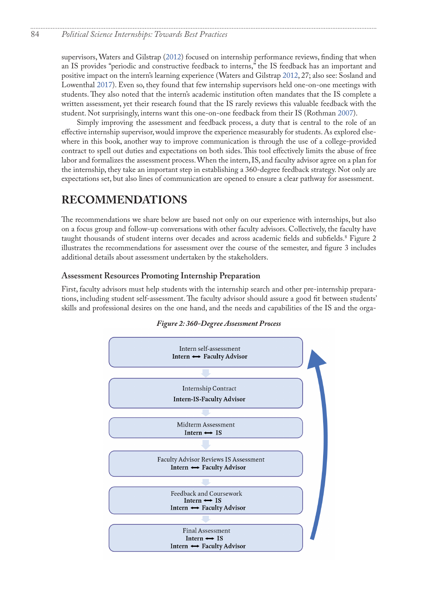### <span id="page-5-0"></span>84 *Political Science Internships: Towards Best Practices*

supervisors, Waters and Gilstrap (2012) focused on internship performance reviews, finding that when an IS provides "periodic and constructive feedback to interns," the IS feedback has an important and positive impact on the intern's learning experience (Waters and Gilstrap 2012, 27; also see: Sosland and Lowenthal 2017). Even so, they found that few internship supervisors held one-on-one meetings with students. They also noted that the intern's academic institution often mandates that the IS complete a written assessment, yet their research found that the IS rarely reviews this valuable feedback with the student. Not surprisingly, interns want this one-on-one feedback from their IS (Rothman 2007).

Simply improving the assessment and feedback process, a duty that is central to the role of an effective internship supervisor, would improve the experience measurably for students. As explored elsewhere in this book, another way to improve communication is through the use of a college-provided contract to spell out duties and expectations on both sides. This tool effectively limits the abuse of free labor and formalizes the assessment process. When the intern, IS, and faculty advisor agree on a plan for the internship, they take an important step in establishing a 360-degree feedback strategy. Not only are expectations set, but also lines of communication are opened to ensure a clear pathway for assessment.

### **RECOMMENDATIONS**

The recommendations we share below are based not only on our experience with internships, but also on a focus group and follow-up conversations with other faculty advisors. Collectively, the faculty have taught thousands of student interns over decades and across academic fields and subfields[.8](#page-10-0) Figure 2 illustrates the recommendations for assessment over the course of the semester, and figure 3 includes additional details about assessment undertaken by the stakeholders.

### **Assessment Resources Promoting Internship Preparation**

First, faculty advisors must help students with the internship search and other pre-internship preparations, including student self-assessment. The faculty advisor should assure a good fit between students' skills and professional desires on the one hand, and the needs and capabilities of the IS and the orga-



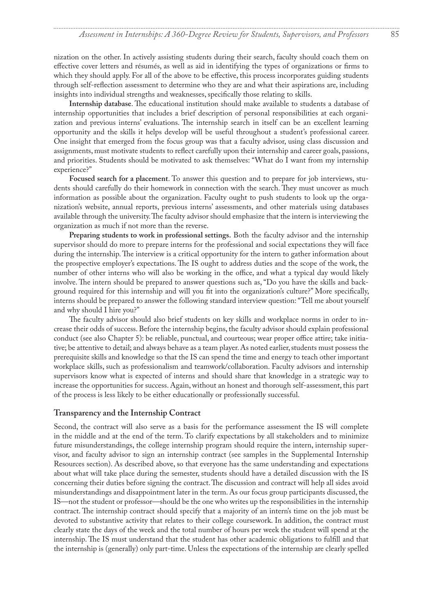nization on the other. In actively assisting students during their search, faculty should coach them on effective cover letters and résumés, as well as aid in identifying the types of organizations or firms to which they should apply. For all of the above to be effective, this process incorporates guiding students through self-reflection assessment to determine who they are and what their aspirations are, including insights into individual strengths and weaknesses, specifically those relating to skills.

**Internship database**. The educational institution should make available to students a database of internship opportunities that includes a brief description of personal responsibilities at each organization and previous interns' evaluations. The internship search in itself can be an excellent learning opportunity and the skills it helps develop will be useful throughout a student's professional career. One insight that emerged from the focus group was that a faculty advisor, using class discussion and assignments, must motivate students to reflect carefully upon their internship and career goals, passions, and priorities. Students should be motivated to ask themselves: "What do I want from my internship experience?"

**Focused search for a placement**. To answer this question and to prepare for job interviews, students should carefully do their homework in connection with the search. They must uncover as much information as possible about the organization. Faculty ought to push students to look up the organization's website, annual reports, previous interns' assessments, and other materials using databases available through the university. The faculty advisor should emphasize that the intern is interviewing the organization as much if not more than the reverse.

**Preparing students to work in professional settings.** Both the faculty advisor and the internship supervisor should do more to prepare interns for the professional and social expectations they will face during the internship. The interview is a critical opportunity for the intern to gather information about the prospective employer's expectations. The IS ought to address duties and the scope of the work, the number of other interns who will also be working in the office, and what a typical day would likely involve. The intern should be prepared to answer questions such as, "Do you have the skills and background required for this internship and will you fit into the organization's culture?" More specifically, interns should be prepared to answer the following standard interview question: "Tell me about yourself and why should I hire you?"

The faculty advisor should also brief students on key skills and workplace norms in order to increase their odds of success. Before the internship begins, the faculty advisor should explain professional conduct (see also Chapter 5): be reliable, punctual, and courteous; wear proper office attire; take initiative; be attentive to detail; and always behave as a team player. As noted earlier, students must possess the prerequisite skills and knowledge so that the IS can spend the time and energy to teach other important workplace skills, such as professionalism and teamwork/collaboration. Faculty advisors and internship supervisors know what is expected of interns and should share that knowledge in a strategic way to increase the opportunities for success. Again, without an honest and thorough self-assessment, this part of the process is less likely to be either educationally or professionally successful.

#### **Transparency and the Internship Contract**

Second, the contract will also serve as a basis for the performance assessment the IS will complete in the middle and at the end of the term. To clarify expectations by all stakeholders and to minimize future misunderstandings, the college internship program should require the intern, internship supervisor, and faculty advisor to sign an internship contract (see samples in the Supplemental Internship Resources section). As described above, so that everyone has the same understanding and expectations about what will take place during the semester, students should have a detailed discussion with the IS concerning their duties before signing the contract. The discussion and contract will help all sides avoid misunderstandings and disappointment later in the term. As our focus group participants discussed, the IS—not the student or professor—should be the one who writes up the responsibilities in the internship contract. The internship contract should specify that a majority of an intern's time on the job must be devoted to substantive activity that relates to their college coursework. In addition, the contract must clearly state the days of the week and the total number of hours per week the student will spend at the internship. The IS must understand that the student has other academic obligations to fulfill and that the internship is (generally) only part-time. Unless the expectations of the internship are clearly spelled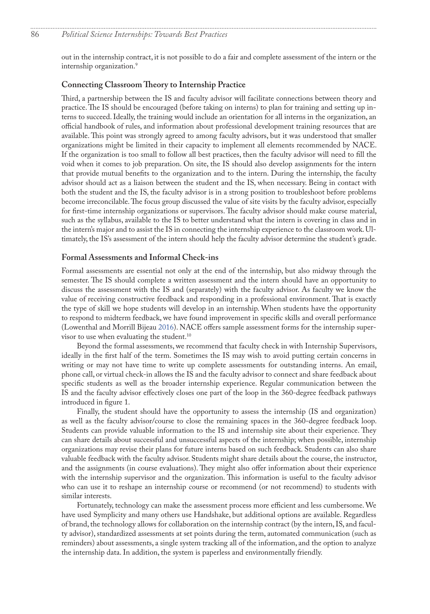<span id="page-7-0"></span>out in the internship contract, it is not possible to do a fair and complete assessment of the intern or the internship organization.<sup>[9](#page-10-0)</sup>

### **Connecting Classroom Theory to Internship Practice**

Third, a partnership between the IS and faculty advisor will facilitate connections between theory and practice. The IS should be encouraged (before taking on interns) to plan for training and setting up interns to succeed. Ideally, the training would include an orientation for all interns in the organization, an official handbook of rules, and information about professional development training resources that are available. This point was strongly agreed to among faculty advisors, but it was understood that smaller organizations might be limited in their capacity to implement all elements recommended by NACE. If the organization is too small to follow all best practices, then the faculty advisor will need to fill the void when it comes to job preparation. On site, the IS should also develop assignments for the intern that provide mutual benefits to the organization and to the intern. During the internship, the faculty advisor should act as a liaison between the student and the IS, when necessary. Being in contact with both the student and the IS, the faculty advisor is in a strong position to troubleshoot before problems become irreconcilable. The focus group discussed the value of site visits by the faculty advisor, especially for first-time internship organizations or supervisors. The faculty advisor should make course material, such as the syllabus, available to the IS to better understand what the intern is covering in class and in the intern's major and to assist the IS in connecting the internship experience to the classroom work. Ultimately, the IS's assessment of the intern should help the faculty advisor determine the student's grade.

#### **Formal Assessments and Informal Check-ins**

Formal assessments are essential not only at the end of the internship, but also midway through the semester. The IS should complete a written assessment and the intern should have an opportunity to discuss the assessment with the IS and (separately) with the faculty advisor. As faculty we know the value of receiving constructive feedback and responding in a professional environment. That is exactly the type of skill we hope students will develop in an internship. When students have the opportunity to respond to midterm feedback, we have found improvement in specific skills and overall performance (Lowenthal and Morrill Bijeau 2016). NACE offers sample assessment forms for the internship super-visor to use when evaluating the student.<sup>[10](#page-10-0)</sup>

Beyond the formal assessments, we recommend that faculty check in with Internship Supervisors, ideally in the first half of the term. Sometimes the IS may wish to avoid putting certain concerns in writing or may not have time to write up complete assessments for outstanding interns. An email, phone call, or virtual check-in allows the IS and the faculty advisor to connect and share feedback about specific students as well as the broader internship experience. Regular communication between the IS and the faculty advisor effectively closes one part of the loop in the 360-degree feedback pathways introduced in figure 1.

Finally, the student should have the opportunity to assess the internship (IS and organization) as well as the faculty advisor/course to close the remaining spaces in the 360-degree feedback loop. Students can provide valuable information to the IS and internship site about their experience. They can share details about successful and unsuccessful aspects of the internship; when possible, internship organizations may revise their plans for future interns based on such feedback. Students can also share valuable feedback with the faculty advisor. Students might share details about the course, the instructor, and the assignments (in course evaluations). They might also offer information about their experience with the internship supervisor and the organization. This information is useful to the faculty advisor who can use it to reshape an internship course or recommend (or not recommend) to students with similar interests.

Fortunately, technology can make the assessment process more efficient and less cumbersome. We have used Symplicity and many others use Handshake, but additional options are available. Regardless of brand, the technology allows for collaboration on the internship contract (by the intern, IS, and faculty advisor), standardized assessments at set points during the term, automated communication (such as reminders) about assessments, a single system tracking all of the information, and the option to analyze the internship data. In addition, the system is paperless and environmentally friendly.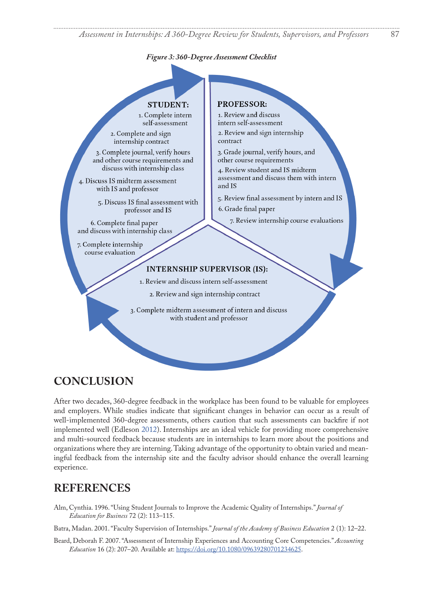*Assessment in Internships: A 360-Degree Review for Students, Supervisors, and Professors* 87

#### *Figure 3: 360-Degree Assessment Checklist*



### **CONCLUSION**

After two decades, 360-degree feedback in the workplace has been found to be valuable for employees and employers. While studies indicate that significant changes in behavior can occur as a result of well-implemented 360-degree assessments, others caution that such assessments can backfire if not implemented well (Edleson 2012). Internships are an ideal vehicle for providing more comprehensive and multi-sourced feedback because students are in internships to learn more about the positions and organizations where they are interning. Taking advantage of the opportunity to obtain varied and meaningful feedback from the internship site and the faculty advisor should enhance the overall learning experience.

### **REFERENCES**

Alm, Cynthia. 1996. "Using Student Journals to Improve the Academic Quality of Internships." *Journal of Education for Business* 72 (2): 113–115.

Batra, Madan. 2001. "Faculty Supervision of Internships." *Journal of the Academy of Business Education* 2 (1): 12–22.

Beard, Deborah F. 2007. "Assessment of Internship Experiences and Accounting Core Competencies." *Accounting Education* 16 (2): 207–20. Available at:<https://doi.org/10.1080/09639280701234625>.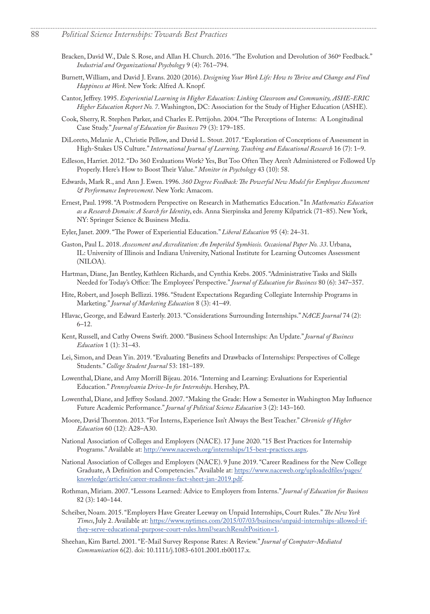Bracken, David W., Dale S. Rose, and Allan H. Church. 2016. "The Evolution and Devolution of 360° Feedback." *Industrial and Organizational Psychology* 9 (4): 761–794.

- <span id="page-9-3"></span>Burnett, William, and David J. Evans. 2020 (2016). *Designing Your Work Life: How to Thrive and Change and Find Happiness at Work*. New York: Alfred A. Knopf.
- <span id="page-9-2"></span>Cantor, Jeffrey. 1995. *Experiential Learning in Higher Education: Linking Classroom and Community, ASHE-ERIC Higher Education Report No. 7*. Washington, DC: Association for the Study of Higher Education (ASHE).
- Cook, Sherry, R. Stephen Parker, and Charles E. Pettijohn. 2004. "The Perceptions of Interns: A Longitudinal Case Study." *Journal of Education for Business* 79 (3): 179–185.
- DiLoreto, Melanie A., Christie Pellow, and David L. Stout. 2017. "Exploration of Conceptions of Assessment in High-Stakes US Culture." *International Journal of Learning, Teaching and Educational Research* 16 (7): 1–9.
- Edleson, Harriet. 2012. "Do 360 Evaluations Work? Yes, But Too Often They Aren't Administered or Followed Up Properly. Here's How to Boost Their Value." *Monitor in Psychology* 43 (10): 58.
- <span id="page-9-1"></span>Edwards, Mark R., and Ann J. Ewen. 1996. *360 Degree Feedback: The Powerful New Model for Employee Assessment & Performance Improvement*. New York: Amacom.
- Ernest, Paul. 1998. "A Postmodern Perspective on Research in Mathematics Education." In *Mathematics Education as a Research Domain: A Search for Identity*, eds. Anna Sierpinska and Jeremy Kilpatrick (71–85). New York, NY: Springer Science & Business Media.
- Eyler, Janet. 2009. "The Power of Experiential Education." *Liberal Education* 95 (4): 24–31.
- <span id="page-9-0"></span>Gaston, Paul L. 2018. *Assessment and Accreditation: An Imperiled Symbiosis. Occasional Paper No. 33*. Urbana, IL: University of Illinois and Indiana University, National Institute for Learning Outcomes Assessment (NILOA).
- Hartman, Diane, Jan Bentley, Kathleen Richards, and Cynthia Krebs. 2005. "Administrative Tasks and Skills Needed for Today's Office: The Employees' Perspective." *Journal of Education for Business* 80 (6): 347–357.
- Hite, Robert, and Joseph Bellizzi. 1986. "Student Expectations Regarding Collegiate Internship Programs in Marketing." *Journal of Marketing Education* 8 (3): 41–49.
- Hlavac, George, and Edward Easterly. 2013. "Considerations Surrounding Internships." *NACE Journal* 74 (2): 6–12.
- Kent, Russell, and Cathy Owens Swift. 2000. "Business School Internships: An Update." *Journal of Business Education* 1 (1): 31–43.
- Lei, Simon, and Dean Yin. 2019. "Evaluating Benefits and Drawbacks of Internships: Perspectives of College Students." *College Student Journal* 53: 181–189.
- Lowenthal, Diane, and Amy Morrill Bijeau. 2016. "Interning and Learning: Evaluations for Experiential Education." *Pennsylvania Drive-In for Internships*. Hershey, PA.
- Lowenthal, Diane, and Jeffrey Sosland. 2007. "Making the Grade: How a Semester in Washington May Influence Future Academic Performance." *Journal of Political Science Education* 3 (2): 143–160.
- Moore, David Thornton. 2013. "For Interns, Experience Isn't Always the Best Teacher." *Chronicle of Higher Education* 60 (12): A28–A30.
- National Association of Colleges and Employers (NACE). 17 June 2020. "15 Best Practices for Internship Programs." Available at:<http://www.naceweb.org/internships/15-best-practices.aspx>.
- National Association of Colleges and Employers (NACE). 9 June 2019. "Career Readiness for the New College Graduate, A Definition and Competencies." Available at: [https://www.naceweb.org/uploadedfiles/pages/](https://www.naceweb.org/uploadedfiles/pages/knowledge/articles/career-readiness-fact-sheet-jan-2019.pdf) [knowledge/articles/career-readiness-fact-sheet-jan-2019.pdf.](https://www.naceweb.org/uploadedfiles/pages/knowledge/articles/career-readiness-fact-sheet-jan-2019.pdf)
- Rothman, Miriam. 2007. "Lessons Learned: Advice to Employers from Interns." *Journal of Education for Business*  82 (3): 140–144.
- Scheiber, Noam. 2015. "Employers Have Greater Leeway on Unpaid Internships, Court Rules." *The New York Times*, July 2. Available at: [https://www.nytimes.com/2015/07/03/business/unpaid-internships-allowed-if](https://www.nytimes.com/2015/07/03/business/unpaid-internships-allowed-if-they-serve-educational-purpose-court-rules.html?searchResultPosition=1)[they-serve-educational-purpose-court-rules.html?searchResultPosition=1](https://www.nytimes.com/2015/07/03/business/unpaid-internships-allowed-if-they-serve-educational-purpose-court-rules.html?searchResultPosition=1).
- Sheehan, Kim Bartel. 2001. "E-Mail Survey Response Rates: A Review." *Journal of Computer-Mediated Communication* 6(2). doi: 10.1111/j.1083-6101.2001.tb00117.x.